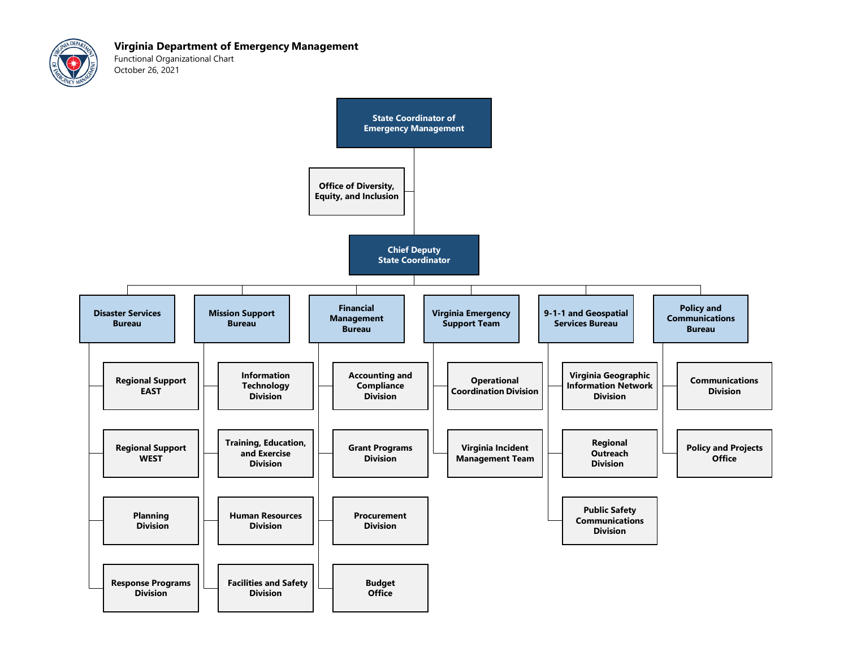

Functional Organizational Chart October 26, 2021

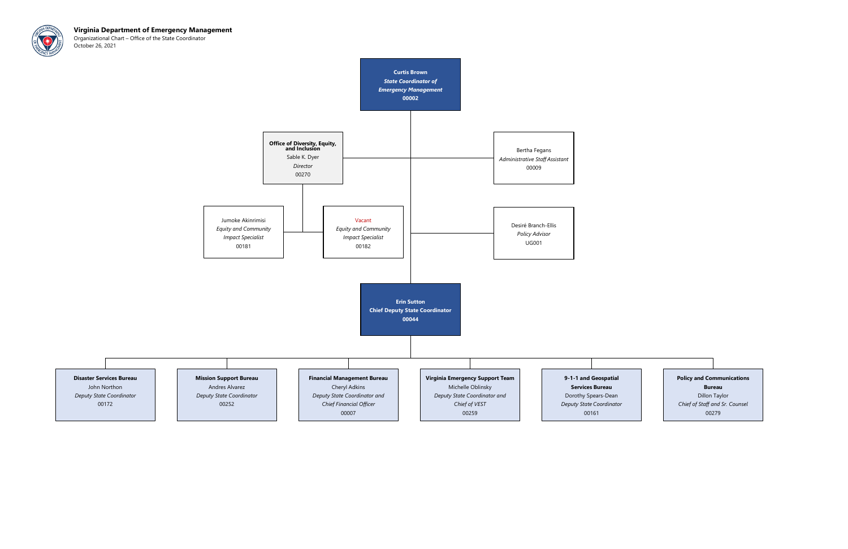

Organizational Chart – Office of the State Coordinator October 26, 2021



## Policy and Communications

Bureau

Dillon Taylor Chief of Staff and Sr. Counsel 00279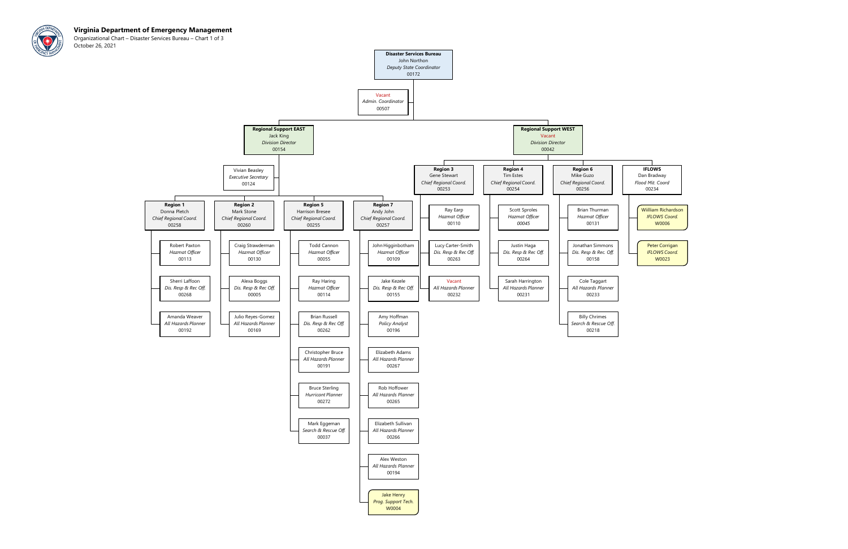

Organizational Chart – Disaster Services Bureau – Chart 1 of 3 October 26, 2021

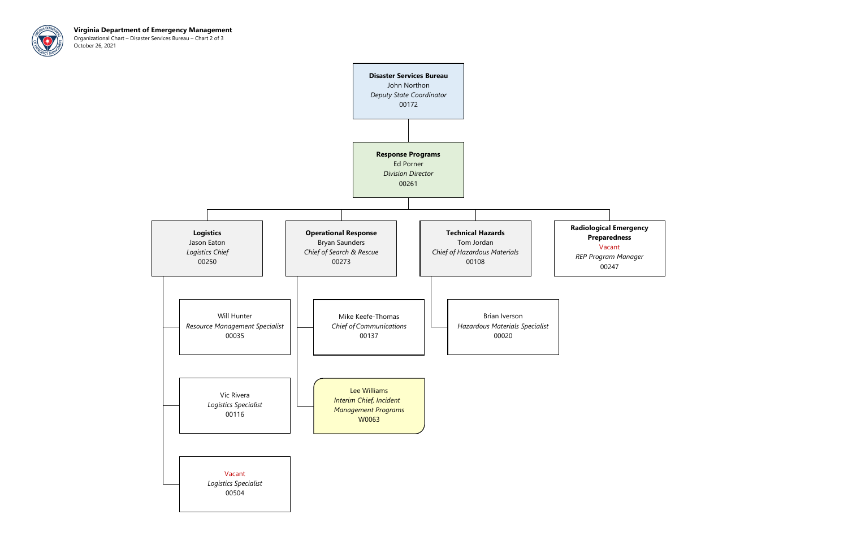

Virginia Department of Emergency Management Organizational Chart – Disaster Services Bureau – Chart 2 of 3 October 26, 2021

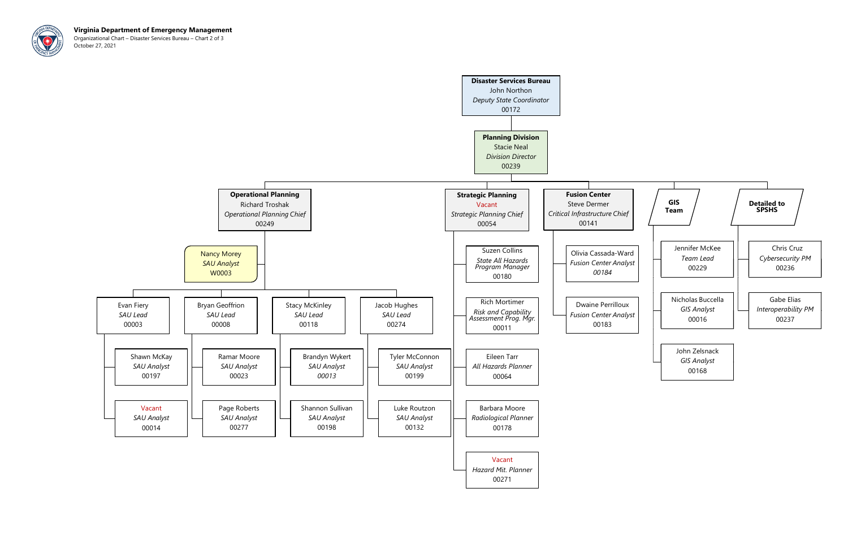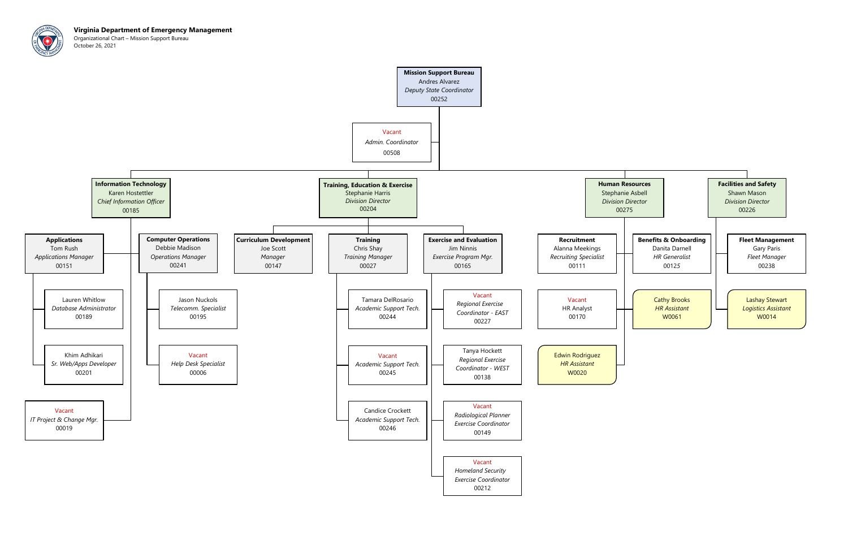

Virginia Department of Emergency Management Organizational Chart – Mission Support Bureau October 26, 2021

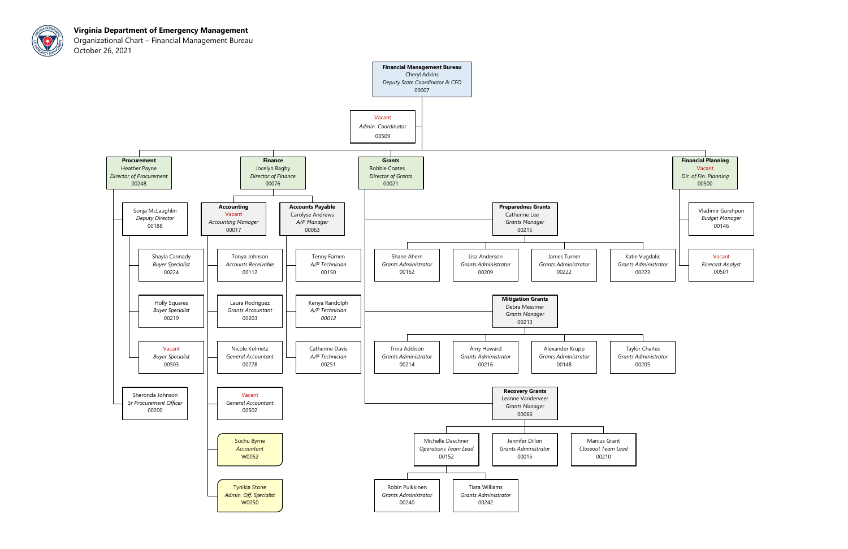

Organizational Chart – Financial Management Bureau October 26, 2021

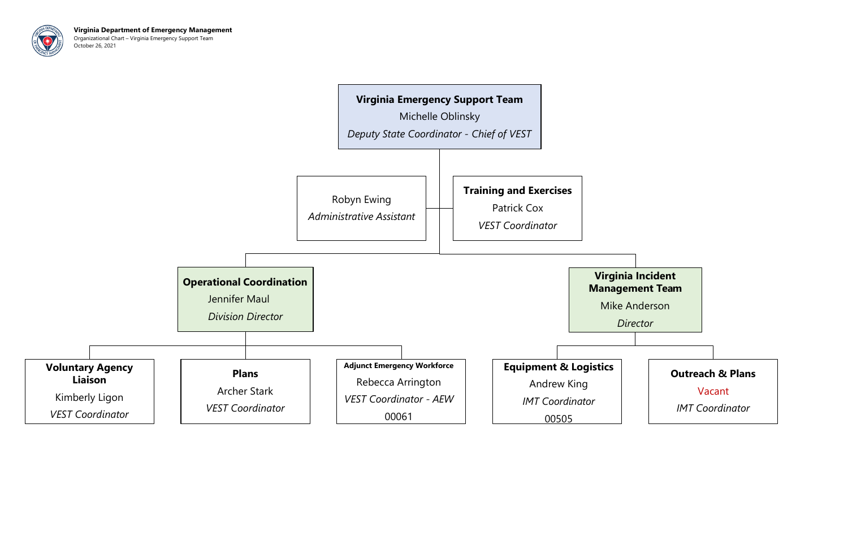

Virginia Department of Emergency Management Organizational Chart – Virginia Emergency Support Team October 26, 2021

## Virginia Incident Management Team



Mike Anderson

**Director** 

## Outreach & Plans

## Vacant

IMT Coordinator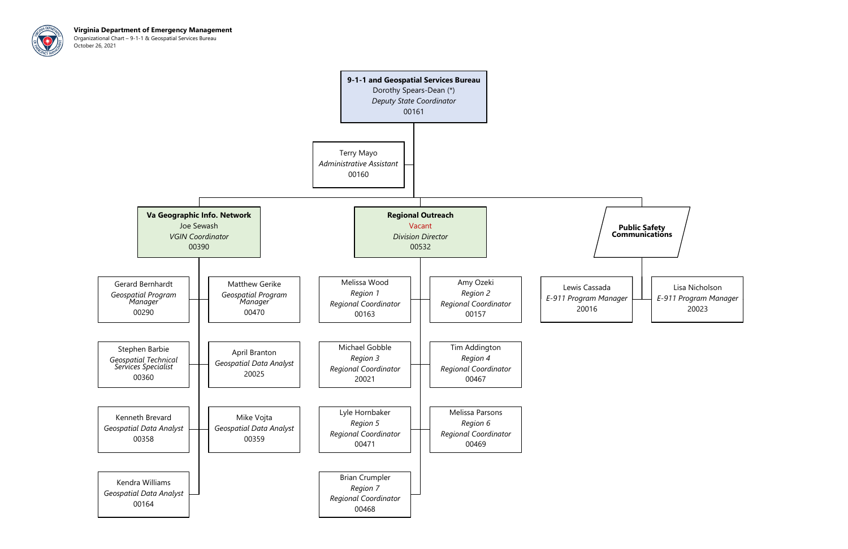